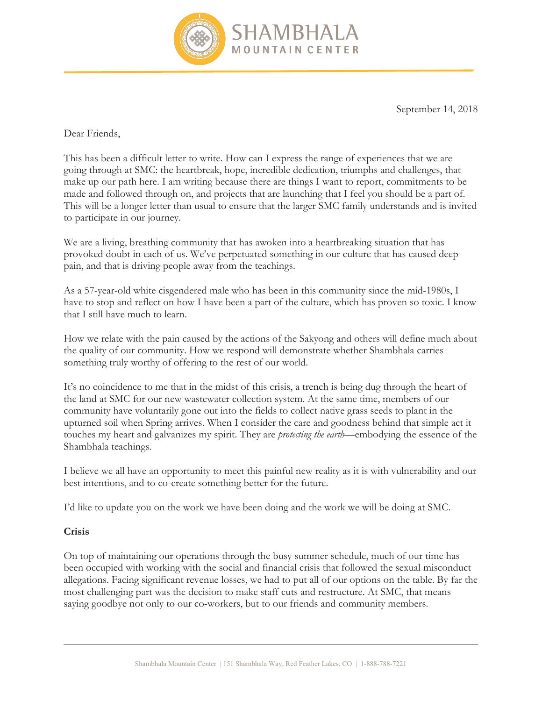

September 14, 2018

Dear Friends,

This has been a difficult letter to write. How can I express the range of experiences that we are going through at SMC: the heartbreak, hope, incredible dedication, triumphs and challenges, that make up our path here. I am writing because there are things I want to report, commitments to be made and followed through on, and projects that are launching that I feel you should be a part of. This will be a longer letter than usual to ensure that the larger SMC family understands and is invited to participate in our journey.

We are a living, breathing community that has awoken into a heartbreaking situation that has provoked doubt in each of us. We've perpetuated something in our culture that has caused deep pain, and that is driving people away from the teachings.

As a 57-year-old white cisgendered male who has been in this community since the mid-1980s, I have to stop and reflect on how I have been a part of the culture, which has proven so toxic. I know that I still have much to learn.

How we relate with the pain caused by the actions of the Sakyong and others will define much about the quality of our community. How we respond will demonstrate whether Shambhala carries something truly worthy of offering to the rest of our world.

It's no coincidence to me that in the midst of this crisis, a trench is being dug through the heart of the land at SMC for our new wastewater collection system. At the same time, members of our community have voluntarily gone out into the fields to collect native grass seeds to plant in the upturned soil when Spring arrives. When I consider the care and goodness behind that simple act it touches my heart and galvanizes my spirit. They are *protecting the earth*—embodying the essence of the Shambhala teachings.

I believe we all have an opportunity to meet this painful new reality as it is with vulnerability and our best intentions, and to co-create something better for the future.

I'd like to update you on the work we have been doing and the work we will be doing at SMC.

## **Crisis**

On top of maintaining our operations through the busy summer schedule, much of our time has been occupied with working with the social and financial crisis that followed the sexual misconduct allegations. Facing significant revenue losses, we had to put all of our options on the table. By far the most challenging part was the decision to make staff cuts and restructure. At SMC, that means saying goodbye not only to our co-workers, but to our friends and community members.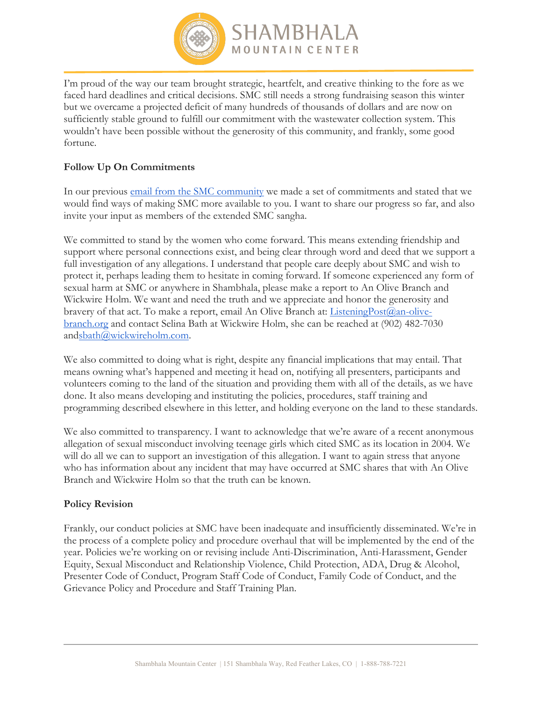

I'm proud of the way our team brought strategic, heartfelt, and creative thinking to the fore as we faced hard deadlines and critical decisions. SMC still needs a strong fundraising season this winter but we overcame a projected deficit of many hundreds of thousands of dollars and are now on sufficiently stable ground to fulfill our commitment with the wastewater collection system. This wouldn't have been possible without the generosity of this community, and frankly, some good fortune.

## **Follow Up On Commitments**

In our previous email from the SMC community we made a set of commitments and stated that we would find ways of making SMC more available to you. I want to share our progress so far, and also invite your input as members of the extended SMC sangha.

We committed to stand by the women who come forward. This means extending friendship and support where personal connections exist, and being clear through word and deed that we support a full investigation of any allegations. I understand that people care deeply about SMC and wish to protect it, perhaps leading them to hesitate in coming forward. If someone experienced any form of sexual harm at SMC or anywhere in Shambhala, please make a report to An Olive Branch and Wickwire Holm. We want and need the truth and we appreciate and honor the generosity and bravery of that act. To make a report, email An Olive Branch at: *ListeningPost@an-olive*branch.org and contact Selina Bath at Wickwire Holm, she can be reached at (902) 482-7030 andsbath@wickwireholm.com.

We also committed to doing what is right, despite any financial implications that may entail. That means owning what's happened and meeting it head on, notifying all presenters, participants and volunteers coming to the land of the situation and providing them with all of the details, as we have done. It also means developing and instituting the policies, procedures, staff training and programming described elsewhere in this letter, and holding everyone on the land to these standards.

We also committed to transparency. I want to acknowledge that we're aware of a recent anonymous allegation of sexual misconduct involving teenage girls which cited SMC as its location in 2004. We will do all we can to support an investigation of this allegation. I want to again stress that anyone who has information about any incident that may have occurred at SMC shares that with An Olive Branch and Wickwire Holm so that the truth can be known.

## **Policy Revision**

Frankly, our conduct policies at SMC have been inadequate and insufficiently disseminated. We're in the process of a complete policy and procedure overhaul that will be implemented by the end of the year. Policies we're working on or revising include Anti-Discrimination, Anti-Harassment, Gender Equity, Sexual Misconduct and Relationship Violence, Child Protection, ADA, Drug & Alcohol, Presenter Code of Conduct, Program Staff Code of Conduct, Family Code of Conduct, and the Grievance Policy and Procedure and Staff Training Plan.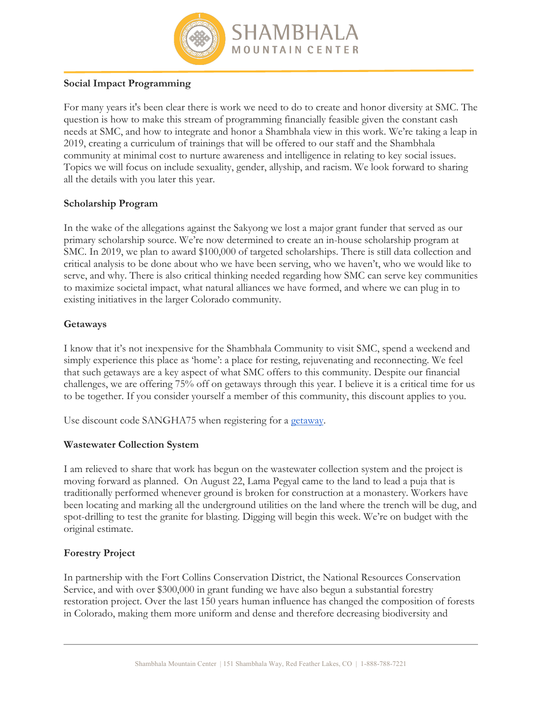

# **Social Impact Programming**

For many years it's been clear there is work we need to do to create and honor diversity at SMC. The question is how to make this stream of programming financially feasible given the constant cash needs at SMC, and how to integrate and honor a Shambhala view in this work. We're taking a leap in 2019, creating a curriculum of trainings that will be offered to our staff and the Shambhala community at minimal cost to nurture awareness and intelligence in relating to key social issues. Topics we will focus on include sexuality, gender, allyship, and racism. We look forward to sharing all the details with you later this year.

### **Scholarship Program**

In the wake of the allegations against the Sakyong we lost a major grant funder that served as our primary scholarship source. We're now determined to create an in-house scholarship program at SMC. In 2019, we plan to award \$100,000 of targeted scholarships. There is still data collection and critical analysis to be done about who we have been serving, who we haven't, who we would like to serve, and why. There is also critical thinking needed regarding how SMC can serve key communities to maximize societal impact, what natural alliances we have formed, and where we can plug in to existing initiatives in the larger Colorado community.

### **Getaways**

I know that it's not inexpensive for the Shambhala Community to visit SMC, spend a weekend and simply experience this place as 'home': a place for resting, rejuvenating and reconnecting. We feel that such getaways are a key aspect of what SMC offers to this community. Despite our financial challenges, we are offering 75% off on getaways through this year. I believe it is a critical time for us to be together. If you consider yourself a member of this community, this discount applies to you.

Use discount code SANGHA75 when registering for a getaway.

## **Wastewater Collection System**

I am relieved to share that work has begun on the wastewater collection system and the project is moving forward as planned. On August 22, Lama Pegyal came to the land to lead a puja that is traditionally performed whenever ground is broken for construction at a monastery. Workers have been locating and marking all the underground utilities on the land where the trench will be dug, and spot-drilling to test the granite for blasting. Digging will begin this week. We're on budget with the original estimate.

## **Forestry Project**

In partnership with the Fort Collins Conservation District, the National Resources Conservation Service, and with over \$300,000 in grant funding we have also begun a substantial forestry restoration project. Over the last 150 years human influence has changed the composition of forests in Colorado, making them more uniform and dense and therefore decreasing biodiversity and